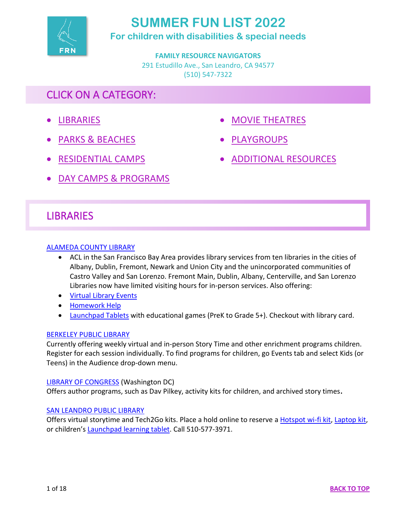

# **SUMMER FUN LIST 2022**

**For children with disabilities & special needs**

**FAMILY RESOURCE NAVIGATORS** 291 Estudillo Ave., San Leandro, CA 94577 (510) 547-7322

# CLICK ON A CATEGORY:

- <span id="page-0-0"></span>• [LIBRARIES](#page-0-1)
- [PARKS & BEACHES](#page-1-0)
- [MOVIE THEATRES](#page-17-0)
- [PLAYGROUPS](#page-4-0)
- [ADDITIONAL RESOURCES](#page-17-1)
- [RESIDENTIAL CAMPS](#page-5-0)
- [DAY CAMPS & PROGRAMS](#page-6-0)

# <span id="page-0-1"></span>**LIBRARIES**

# [ALAMEDA COUNTY LIBRARY](https://aclibrary.org/)

- ACL in the San Francisco Bay Area provides library services from ten libraries in the cities of Albany, Dublin, Fremont, Newark and Union City and the unincorporated communities of Castro Valley and San Lorenzo. Fremont Main, Dublin, Albany, Centerville, and San Lorenzo Libraries now have limited visiting hours for in-person services. Also offering:
- [Virtual Library Events](https://aclibrary.bibliocommons.com/events/search/index)
- [Homework Help](https://aclibrary.org/families/#homework-help)
- [Launchpad Tablets](https://aclibrary.bibliocommons.com/v2/search?query=Launchpad&searchType=title) with educational games (PreK to Grade 5+). Checkout with library card.

# [BERKELEY PUBLIC LIBRARY](https://www.berkeleypubliclibrary.org/events)

Currently offering weekly virtual and in-person Story Time and other enrichment programs children. Register for each session individually. To find programs for children, go Events tab and select Kids (or Teens) in the Audience drop-down menu.

# [LIBRARY OF CONGRESS](https://www.loc.gov/families/) (Washington DC)

Offers author programs, such as Dav Pilkey, activity kits for children, and archived story times**.**

# [SAN LEANDRO PUBLIC LIBRARY](https://www.sanleandro.org/165/Childrens-Services)

Offers virtual storytime and Tech2Go kits. Place a hold online to reserve a [Hotspot wi-fi kit,](https://libraryaware.com/29RZV3?SID=d855a726-9ec7-430a-b2a0-5c9340c3b75a) [Laptop kit,](https://libraryaware.com/29RZV4?SID=d855a726-9ec7-430a-b2a0-5c9340c3b75a) or children's [Launchpad learning tablet.](https://libraryaware.com/29RZV5?SID=d855a726-9ec7-430a-b2a0-5c9340c3b75a) Call 510-577-3971.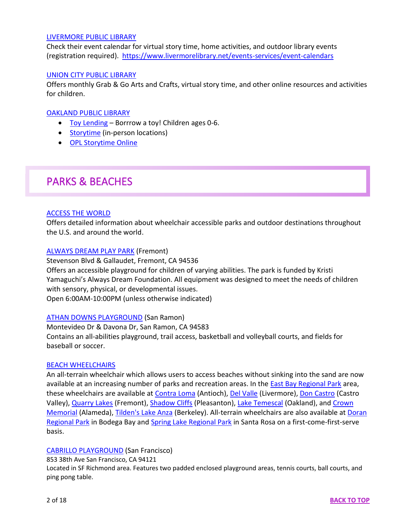### [LIVERMORE PUBLIC LIBRARY](https://www.livermorelibrary.net/digital-library/kids)

Check their event calendar for virtual story time, home activities, and outdoor library events (registration required). <https://www.livermorelibrary.net/events-services/event-calendars>

#### [UNION CITY PUBLIC LIBRARY](https://uclibrary.org/children/)

Offers monthly Grab & Go Arts and Crafts, virtual story time, and other online resources and activities for children.

#### [OAKLAND PUBLIC LIBRARY](https://oaklandlibrary.org/)

- [Toy Lending](https://oaklandlibrary.org/toy-lending/) Borrrow a toy! Children ages 0-6.
- [Storytime](https://oaklandlibrary.bibliocommons.com/events/search/q=storytime) (in-person locations)
- [OPL Storytime Online](https://oaklandlibrary.org/opl-storytime-online/)

# <span id="page-1-0"></span>PARKS & BEACHES

#### [ACCESS THE WORLD](https://www.wheelchairtraveling.com/united-states-of-america-usa/california-wheelchair-travel/)

Offers detailed information about wheelchair accessible parks and outdoor destinations throughout the U.S. and around the world.

#### [ALWAYS DREAM PLAY PARK](https://fremont.gov/2033/Always-Dream-Play-Park) (Fremont)

Stevenson Blvd & Gallaudet, Fremont, CA 94536 Offers an accessible playground for children of varying abilities. The park is funded by Kristi Yamaguchi's Always Dream Foundation. All equipment was designed to meet the needs of children with sensory, physical, or developmental issues. Open 6:00AM-10:00PM (unless otherwise indicated)

#### [ATHAN DOWNS PLAYGROUND](https://www.sanramon.ca.gov/our_city/departments_and_divisions/parks_community_services/parks_facilities/parks/athan_downs) (San Ramon)

Montevideo Dr & Davona Dr, San Ramon, CA 94583 Contains an all-abilities playground, trail access, basketball and volleyball courts, and fields for baseball or soccer.

#### [BEACH WHEELCHAIRS](https://www.coastal.ca.gov/access/beach-wheelchairs.html)

An all-terrain wheelchair which allows users to access beaches without sinking into the sand are now available at an increasing number of parks and recreation areas. In the [East Bay Regional Park](https://www.ebparks.org/parks/accessibility/default.htm) area, these wheelchairs are available at [Contra Loma](https://www.ebparks.org/parks/contra_loma/default.htm) (Antioch), [Del Valle](https://www.ebparks.org/parks/del_valle/default.htm) (Livermore)[, Don Castro](https://www.ebparks.org/parks/don_castro/default.htm) (Castro Valley), [Quarry Lakes](https://www.ebparks.org/parks/quarry_lakes/default.htm) (Fremont), [Shadow Cliffs](https://www.ebparks.org/parks/shadow_cliffs/default.htm) (Pleasanton), [Lake Temescal](https://www.ebparks.org/parks/temescal/default.htm) (Oakland), an[d Crown](https://www.ebparks.org/parks/crown_beach/default.htm)  [Memorial](https://www.ebparks.org/parks/crown_beach/default.htm) (Alameda), [Tilden's Lake Anza](https://www.ebparks.org/parks/tilden/default.htm) (Berkeley). All-terrain wheelchairs are also available at Doran [Regional Park](https://parks.sonomacounty.ca.gov/visit/find-a-park/doran-regional-park) in Bodega Bay and [Spring Lake Regional Park](https://parks.sonomacounty.ca.gov/visit/find-a-park/spring-lake-regional-park) in Santa Rosa on a first-come-first-serve basis.

#### [CABRILLO PLAYGROUND](https://sfrecpark.org/486/Cabrillo-Playground) (San Francisco)

853 38th Ave San Francisco, CA 94121

Located in SF Richmond area. Features two padded enclosed playground areas, tennis courts, ball courts, and ping pong table.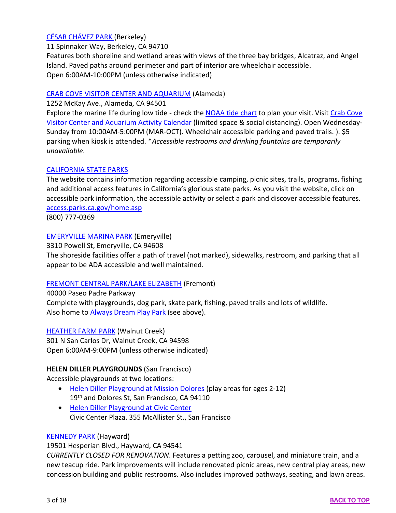# [CÉSAR CHÁVEZ PARK](https://www.cityofberkeley.info/ContentDisplay.aspx?id=56000) (Berkeley)

11 Spinnaker Way, Berkeley, CA 94710

Features both shoreline and wetland areas with views of the three bay bridges, Alcatraz, and Angel Island. Paved paths around perimeter and part of interior are wheelchair accessible. Open 6:00AM-10:00PM (unless otherwise indicated)

# [CRAB COVE VISITOR CENTER AND AQUARIUM](https://www.ebparks.org/parks/vc/crab_cove/) (Alameda)

1252 McKay Ave., Alameda, CA 94501

Explore the marine life during low tide - check the [NOAA tide chart](https://tidesandcurrents.noaa.gov/stationhome.html?id=9414750) to plan your visit. Visit [Crab Cove](https://apm.activecommunities.com/ebparks/Activity_Search?detailskeyword=&IsAdvanced=True&ddlSortBy=Simple+Date&ActivityCenterID=10&DaysOfWeek=0000000&SearchFor=2&SearchLevelID=2&maxAge=100&NumberOfItemsPerPage=100&IsSearch=true)  Visitor Center [and Aquarium Activity Calendar](https://apm.activecommunities.com/ebparks/Activity_Search?detailskeyword=&IsAdvanced=True&ddlSortBy=Simple+Date&ActivityCenterID=10&DaysOfWeek=0000000&SearchFor=2&SearchLevelID=2&maxAge=100&NumberOfItemsPerPage=100&IsSearch=true) (limited space & social distancing). Open Wednesday-Sunday from 10:00AM-5:00PM (MAR-OCT). Wheelchair accessible parking and paved trails. ). \$5 parking when kiosk is attended. \**Accessible restrooms and drinking fountains are temporarily unavailable*.

# [CALIFORNIA STATE PARKS](https://www.parks.ca.gov/)

The website contains information regarding accessible camping, picnic sites, trails, programs, fishing and additional access features in California's glorious state parks. As you visit the website, click on accessible park information, the accessible activity or select a park and discover accessible features. [access.parks.ca.gov/home.asp](http://access.parks.ca.gov/home.asp)

(800) 777-0369

# [EMERYVILLE MARINA PARK](https://sfbaywatertrail.org/trailhead/emeryville-marina/) (Emeryville)

3310 Powell St, Emeryville, CA 94608

The shoreside facilities offer a path of travel (not marked), sidewalks, restroom, and parking that all appear to be ADA accessible and well maintained.

# [FREMONT CENTRAL PARK/LAKE ELIZABETH](https://www.fremont.gov/317/Central-Park) (Fremont)

40000 Paseo Padre Parkway Complete with playgrounds, dog park, skate park, fishing, paved trails and lots of wildlife. Also home to **Always Dream Play Park** (see above).

# [HEATHER FARM PARK](https://www.walnut-creek.org/departments/arts-and-recreation/recreation-parks/parks/parks-map/heather-farm-park-detail-maps) (Walnut Creek)

301 N San Carlos Dr, Walnut Creek, CA 94598 Open 6:00AM-9:00PM (unless otherwise indicated)

# **HELEN DILLER PLAYGROUNDS** (San Francisco)

Accessible playgrounds at two locations:

- [Helen Diller Playground at Mission Dolores](https://sfrecpark.org/648/Mission-Dolores---Helen-Diller-Playgroun) (play areas for ages 2-12) 19<sup>th</sup> and [Dolores St, San Francisco, CA 94110](https://www.bing.com/maps?&ty=18&q=Dolores%20Park&satid=id.sid%3A3e27f702-3759-75de-f136-0e9ac447a476&ppois=37.76211929321289_-122.42591094970703_Dolores%20Park_~&cp=37.762119~-122.425911&v=2&sV=1)
- [Helen Diller Playground at Civic Center](https://sfrecpark.org/645/Helen-Diller-Playgrounds-at-Civic-Center) Civic Center Plaza. 355 McAllister St., San Francisco

# [KENNEDY PARK](https://www.haywardrec.org/Facilities/Facility/Details/Kennedy-Park-1) (Hayward)

19501 Hesperian Blvd., Hayward, CA 94541

*CURRENTLY CLOSED FOR RENOVATION*. Features a petting zoo, carousel, and miniature train, and a new teacup ride. Park improvements will include renovated picnic areas, new central play areas, new concession building and public restrooms. Also includes improved pathways, seating, and lawn areas.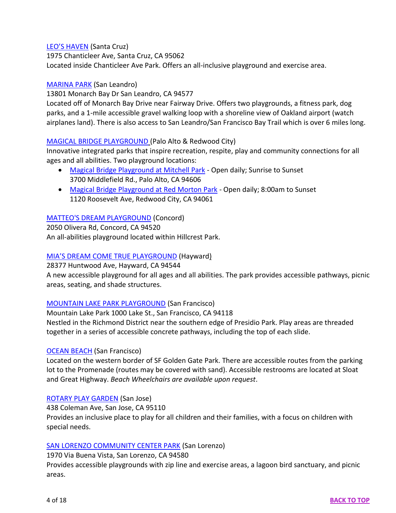## [LEO'S HAVEN](https://www.scparks.com/Home/Parks/AllCountyParks/ChanticleerCountyPark.aspx) (Santa Cruz)

1975 Chanticleer Ave, Santa Cruz, CA 95062 Located inside Chanticleer Ave Park. Offers an all-inclusive playground and exercise area.

#### [MARINA PARK](https://www.sanleandro.org/Facilities/Facility/Details/Marina-Park-11) (San Leandro)

13801 Monarch Bay Dr San Leandro, CA 94577

Located off of Monarch Bay Drive near Fairway Drive. Offers two playgrounds, a fitness park, dog parks, and a 1-mile accessible gravel walking loop with a shoreline view of Oakland airport (watch airplanes land). There is also access to San Leandro/San Francisco Bay Trail which is over 6 miles long.

## MAGICAL [BRIDGE PLAYGROUND](https://magicalbridge.org/) (Palo Alto & Redwood City)

Innovative integrated parks that inspire recreation, respite, play and community connections for all ages and all abilities. Two playground locations:

- [Magical Bridge Playground at Mitchell Park](https://magicalbridge.org/palo-alto/) Open daily; Sunrise to Sunset 3700 Middlefield Rd., Palo Alto, CA 94606
- [Magical Bridge Playground at Red Morton Park](https://magicalbridge.org/redwoodcity) Open daily; 8:00am to Sunset 1120 Roosevelt Ave, Redwood City, CA 94061

# [MATTEO'S DREAM PLAYGROUND](http://www.cityofconcord.org/facilities/facility/details/matteosdream-39) (Concord)

2050 Olivera Rd, Concord, CA 94520 An all-abilities playground located within Hillcrest Park.

## [MIA'S DREAM COME TRUE PLAYGROUND](https://haywardrec.org/1840/Mias-Dream-Come-True-Playground) (Hayward)

28377 Huntwood Ave, Hayward, CA 94544

A new accessible playground for all ages and all abilities. The park provides accessible pathways, picnic areas, seating, and shade structures.

### [MOUNTAIN LAKE PARK PLAYGROUND](https://sfrecpark.org/570/Mountain-Lake-Park) (San Francisco)

Mountain Lake Park 1000 Lake St., San Francisco, CA 94118 Nestled in the Richmond District near the southern edge of Presidio Park. Play areas are threaded together in a series of accessible concrete pathways, including the top of each slide.

### [OCEAN BEACH](https://www.wheelchairtraveling.com/ocean-beach-san-francisco-access/) (San Francisco)

Located on the western border of SF Golden Gate Park. There are accessible routes from the parking lot to the Promenade (routes may be covered with sand). Accessible restrooms are located at Sloat and Great Highway. *Beach Wheelchairs are available upon request*.

### [ROTARY PLAY GARDEN](https://sanjose.org/listings/rotary-playgarden) (San Jose)

438 Coleman Ave, San Jose, CA 95110 Provides an inclusive place to play for all children and their families, with a focus on children with special needs.

### [SAN LORENZO COMMUNITY CENTER PARK](https://www.haywardrec.org/Facilities/Facility/Details/San-Lorenzo-Community-Park-48) (San Lorenzo)

### 1970 Via Buena Vista, San Lorenzo, CA 94580

Provides accessible playgrounds with zip line and exercise areas, a lagoon bird sanctuary, and picnic areas.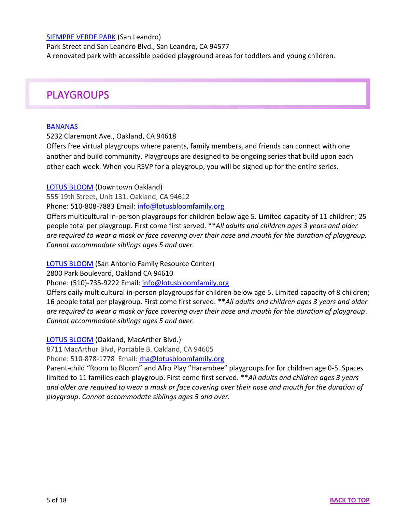#### [SIEMPRE VERDE PARK](https://www.sanleandro.org/facilities/facility/details/siempreverdepark-16) (San Leandro)

Park Street and San Leandro Blvd., San Leandro, CA 94577 A renovated park with accessible padded playground areas for toddlers and young children.

# <span id="page-4-0"></span>PLAYGROUPS

#### **[BANANAS](https://bananasbunch.org/playgroups/)**

#### 5232 Claremont Ave., Oakland, CA 94618

Offers free virtual playgroups where parents, family members, and friends can connect with one another and build community. Playgroups are designed to be ongoing series that build upon each other each week. When you RSVP for a playgroup, you will be signed up for the entire series.

#### [LOTUS BLOOM](https://www.lotusbloomfamily.org/dtoakland.html) (Downtown Oakland)

555 19th Street, Unit 131. Oakland, CA 94612

Phone: 510-808-7883 Email: [info@lotusbloomfamily.org](mailto:info@lotusbloomfamily.org)

Offers multicultural in-person playgroups for children below age 5. Limited capacity of 11 children; 25 people total per playgroup. First come first served. \*\**All adults and children ages 3 years and older are required to wear a mask or face covering over their nose and mouth for the duration of playgroup. Cannot accommodate siblings ages 5 and over.*

[LOTUS BLOOM](https://www.lotusbloomfamily.org/safrc.html) (San Antonio Family Resource Center)

2800 Park Boulevard, Oakland CA 94610

Phone: (510)-735-9222 Email: [info@lotusbloomfamily.org](mailto:info@lotusbloomfamily.org)

Offers daily multicultural in-person playgroups for children below age 5. Limited capacity of 8 children; 16 people total per playgroup. First come first served. \*\**All adults and children ages 3 years and older are required to wear a mask or face covering over their nose and mouth for the duration of playgroup*. *Cannot accommodate siblings ages 5 and over.*

#### [LOTUS BLOOM](https://www.lotusbloomfamily.org/room-to-bloom.html) (Oakland, MacArther Blvd.)

8711 MacArthur Blvd, Portable B. Oakland, CA 94605

Phone: 510-878-1778 Email: [rha@lotusbloomfamily.org](mailto:rha@lotusbloomfamily.org)

Parent-child "Room to Bloom" and Afro Play "Harambee" playgroups for for children age 0-5. Spaces limited to 11 families each playgroup. First come first served. \*\**All adults and children ages 3 years and older are required to wear a mask or face covering over their nose and mouth for the duration of playgroup*. *Cannot accommodate siblings ages 5 and over.*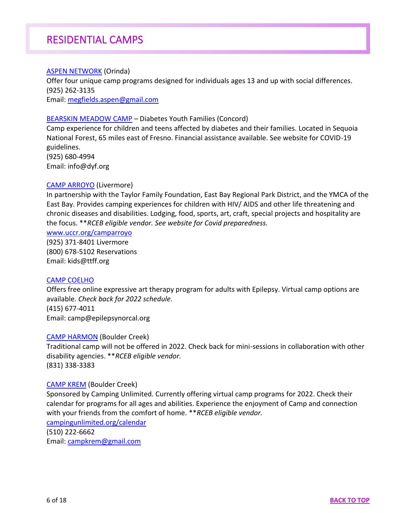# RESIDENTIAL CAMPS

### <span id="page-5-0"></span>**[ASPEN NETWORK](https://aspennetwork.net/) (Orinda)**

Offer four unique camp programs designed for individuals ages 13 and up with social differences. (925) 262-3135 Email: [megfields.aspen@gmail.com](mailto:megfields.aspen@gmail.com)

[BEARSKIN MEADOW CAMP](https://dyf.org/) – Diabetes Youth Families (Concord)

Camp experience for children and teens affected by diabetes and their families. Located in Sequoia National Forest, 65 miles east of Fresno. Financial assistance available. See website for COVID-19 guidelines. (925) 680-4994 Email: info@dyf.org

### [CAMP ARROYO](https://ttff.org/what-is-camp-arroyo/) (Livermore)

In partnership with the Taylor Family Foundation, East Bay Regional Park District, and the YMCA of the East Bay. Provides camping experiences for children with HIV/ AIDS and other life threatening and chronic diseases and disabilities. Lodging, food, sports, art, craft, special projects and hospitality are the focus. \*\**RCEB eligible vendor. See website for Covid preparedness.*

#### [www.uccr.org/camparroyo](https://www.uccr.org/camparroyo)

(925) 371-8401 Livermore (800) 678-5102 Reservations Email: kids@ttff.org

#### [CAMP COELHO](https://www.epilepsynorcal.org/our-programs/campcoelho/)

Offers free online expressive art therapy program for adults with Epilepsy. Virtual camp options are available. *Check back for 2022 schedule.* (415) 677-4011 Email: camp@epilepsynorcal.org

#### [CAMP HARMON](https://www.campharmon.org/) (Boulder Creek)

Traditional camp will not be offered in 2022. Check back for mini-sessions in collaboration with other disability agencies. \*\**RCEB eligible vendor.* (831) 338-3383

#### [CAMP KREM](https://campingunlimited.org/programs/summer-camp/) (Boulder Creek)

Sponsored by Camping Unlimited. Currently offering virtual camp programs for 2022. Check their calendar for programs for all ages and abilities. Experience the enjoyment of Camp and connection with your friends from the comfort of home. \*\**RCEB eligible vendor.*

[campingunlimited.org/calendar](https://campingunlimited.org/calendar)

(510) 222-6662 Email: [campkrem@gmail.com](mailto:campkrem@gmail.com)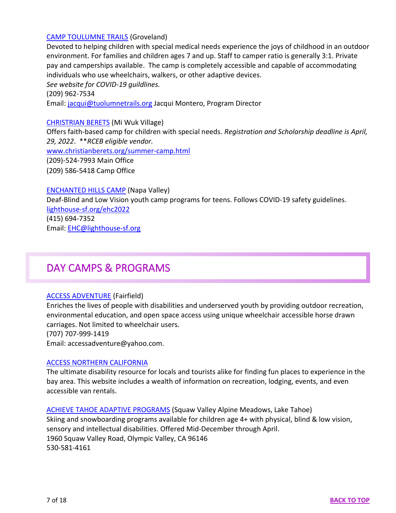## [CAMP TOULUMNE TRAILS](http://www.tuolumnetrails.org/) (Groveland)

Devoted to helping children with special medical needs experience the joys of childhood in an outdoor environment. For families and children ages 7 and up. Staff to camper ratio is generally 3:1. Private pay and camperships available. The camp is completely accessible and capable of accommodating individuals who use wheelchairs, walkers, or other adaptive devices.

*See website for COVID-19 guildlines.*

(209) 962-7534

Email: [jacqui@tuolumnetrails.org](mailto:jacqui@tuolumnetrails.org) Jacqui Montero, Program Director

[CHRISTRIAN BERETS](https://www.christianberets.org/) (Mi Wuk Village)

Offers faith-based camp for children with special needs. *Registration and Scholarship deadline is April, 29, 2022*. \*\**RCEB eligible vendor.*

[www.christianberets.org/summer-camp.html](https://www.christianberets.org/summer-camp.html)

(209)-524-7993 Main Office

(209) 586-5418 Camp Office

[ENCHANTED HILLS CAMP](https://lighthouse-sf.org/) (Napa Valley)

Deaf-Blind and Low Vision youth camp programs for teens. Follows COVID-19 safety guidelines. [lighthouse-sf.org/ehc2022](https://lighthouse-sf.org/ehc2022/) (415) 694-7352 Email: [EHC@lighthouse-sf.org](mailto:EHC@lighthouse-sf.org)

# <span id="page-6-0"></span>DAY CAMPS & PROGRAMS

### [ACCESS ADVENTURE](http://access-adventure.org/) (Fairfield)

Enriches the lives of people with disabilities and underserved youth by providing outdoor recreation, environmental education, and open space access using unique wheelchair accessible horse drawn carriages. Not limited to wheelchair users.

(707) 707-999-1419

Email: accessadventure@yahoo.com.

### [ACCESS NORTHERN CALIFORNIA](http://accessnca.org/)

The ultimate disability resource for locals and tourists alike for finding fun places to experience in the bay area. This website includes a wealth of information on recreation, lodging, events, and even accessible van rentals.

[ACHIEVE TAHOE ADAPTIVE PROGRAMS](https://www.squawalpine.com/plan-your-visit/lessons-and-guides/achieve-tahoe) (Squaw Valley Alpine Meadows, Lake Tahoe) Skiing and snowboarding programs available for children age 4+ with physical, blind & low vision, sensory and intellectual disabilities. Offered Mid-December through April. 1960 Squaw Valley Road, Olympic Valley, CA 96146 530-581-4161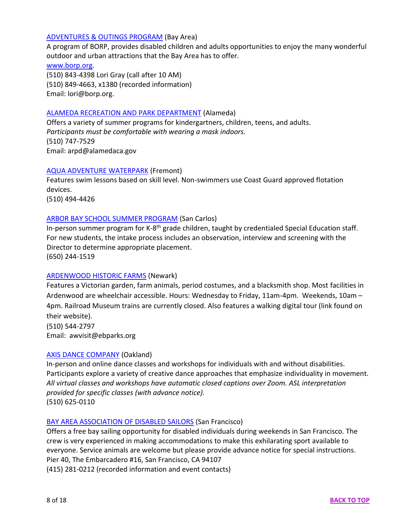## [ADVENTURES & OUTINGS PROGRAM](https://www.borp.org/adventures-and-outings-calendar/) (Bay Area)

A program of BORP, provides disabled children and adults opportunities to enjoy the many wonderful outdoor and urban attractions that the Bay Area has to offer.

[www.borp.org.](http://www.borp.org/)

(510) 843-4398 Lori Gray (call after 10 AM) (510) 849-4663, x1380 (recorded information) Email: lori@borp.org.

### [ALAMEDA RECREATION AND PARK DEPARTMENT](https://www.alamedaca.gov/Departments/Recreation-Parks) (Alameda)

Offers a variety of summer programs for kindergartners, children, teens, and adults. *Participants must be comfortable with wearing a mask indoors.* (510) 747-7529 Email: arpd@alamedaca.gov

### [AQUA ADVENTURE WATERPARK](https://goaquaadventure.com/) (Fremont)

Features swim lessons based on skill level. Non-swimmers use Coast Guard approved flotation devices.

(510) 494-4426

## [ARBOR BAY SCHOOL SUMMER PROGRAM](https://www.arborbayschool.org/summer-program/) (San Carlos)

In-person summer program for K-8<sup>th</sup> grade children, taught by credentialed Special Education staff. For new students, the intake process includes an observation, interview and screening with the Director to determine appropriate placement. (650) 244-1519

### [ARDENWOOD HISTORIC FARMS](https://www.ebparks.org/parks/ardenwood/) (Newark)

Features a Victorian garden, farm animals, period costumes, and a blacksmith shop. Most facilities in Ardenwood are wheelchair accessible. Hours: Wednesday to Friday, 11am-4pm. Weekends, 10am – 4pm. Railroad Museum trains are currently closed. Also features a walking digital tour (link found on their website).

(510) 544-2797 Email: awvisit@ebparks.org

### [AXIS DANCE COMPANY](https://www.axisdance.org/) (Oakland)

In-person and online dance classes and workshops for individuals with and without disabilities. Participants explore a variety of creative dance approaches that emphasize individuality in movement. *All virtual classes and workshops have automatic closed captions over Zoom. ASL interpretation provided for specific classes (with advance notice).* (510) 625-0110

### [BAY AREA ASSOCIATION OF DISABLED SAILORS](https://www.baads.org/) (San Francisco)

Offers a free bay sailing opportunity for disabled individuals during weekends in San Francisco. The crew is very experienced in making accommodations to make this exhilarating sport available to everyone. Service animals are welcome but please provide advance notice for special instructions. Pier 40, The Embarcadero #16, San Francisco, CA 94107 (415) 281-0212 (recorded information and event contacts)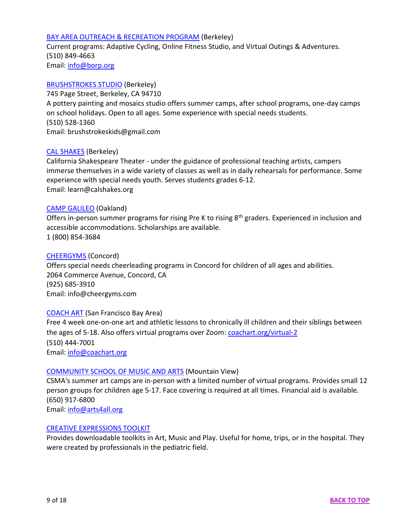### [BAY AREA OUTREACH & RECREATION PROGRAM](https://www.borp.org/) (Berkeley)

Current programs: Adaptive Cycling, Online Fitness Studio, and Virtual Outings & Adventures. (510) 849-4663 Email: [info@borp.org](mailto:info@borp.org)

#### [BRUSHSTROKES STUDIO](https://www.brushstrokestudio.com/) (Berkeley)

745 Page Street, Berkeley, CA 94710 A pottery painting and mosaics studio offers summer camps, after school programs, one-day camps on school holidays. Open to all ages. Some experience with special needs students. (510) 528-1360 Email: brushstrokeskids@gmail.com

### [CAL SHAKES](https://calshakes.org/) (Berkeley)

California Shakespeare Theater - under the guidance of professional teaching artists, campers immerse themselves in a wide variety of classes as well as in daily rehearsals for performance. Some experience with special needs youth. Serves students grades 6-12. Email: learn@calshakes.org

#### [CAMP GALILEO](https://galileo-camps.com/our-camps/summer-camp-galileo/) (Oakland)

Offers in-person summer programs for rising Pre K to rising  $8<sup>th</sup>$  graders. Experienced in inclusion and accessible accommodations. Scholarships are available. 1 (800) 854-3684

#### [CHEERGYMS](https://cheergyms.com/) (Concord)

Offers special needs cheerleading programs in Concord for children of all ages and abilities. 2064 Commerce Avenue, Concord, CA (925) 685-3910 Email: info@cheergyms.com

#### [COACH ART](https://coachart.org/) (San Francisco Bay Area)

Free 4 week one-on-one art and athletic lessons to chronically ill children and their siblings between the ages of 5-18. Also offers virtual programs over Zoom: [coachart.org/virtual-2](https://coachart.org/virtual-2) (510) 444-7001 Email: [info@coachart.org](mailto:info@coachart.org)

#### [COMMUNITY SCHOOL OF MUSIC AND ARTS](https://arts4all.org/camps-workshops/summer-camps) (Mountain View)

CSMA's summer art camps are in-person with a limited number of virtual programs. Provides small 12 person groups for children age 5-17. Face covering is required at all times. Financial aid is available. (650) 917-6800 Email: [info@arts4all.org](mailto:info@arts4all.org)

#### [CREATIVE EXPRESSIONS TOOLKIT](https://www.ppcc-pa.org/toolkits-2/creative-expressions-toolkit?utm_source=newsletter&utm_medium=email&utm_content=Learn%20more&utm_campaign=2022.03.03_CSHCN_Network_Newsletter)

Provides downloadable toolkits in Art, Music and Play. Useful for home, trips, or in the hospital. They were created by professionals in the pediatric field.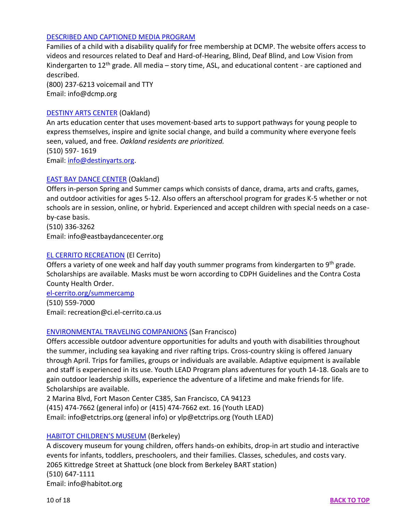## [DESCRIBED AND CAPTIONED MEDIA PROGRAM](https://dcmp.org/)

Families of a child with a disability qualify for free membership at DCMP. The website offers access to videos and resources related to Deaf and Hard-of-Hearing, Blind, Deaf Blind, and Low Vision from Kindergarten to 12<sup>th</sup> grade. All media - story time, ASL, and educational content - are captioned and described.

(800) 237-6213 voicemail and TTY Email: info@dcmp.org

### [DESTINY ARTS CENTER](https://destinyarts.org/) (Oakland)

An arts education center that uses movement-based arts to support pathways for young people to express themselves, inspire and ignite social change, and build a community where everyone feels seen, valued, and free. *Oakland residents are prioritized.* (510) 597- 1619 Email: [info@destinyarts.org.](mailto:info@destinyarts.org)

### [EAST BAY DANCE CENTER](https://www.eastbaydancecenter.org/) (Oakland)

Offers in-person Spring and Summer camps which consists of dance, drama, arts and crafts, games, and outdoor activities for ages 5-12. Also offers an afterschool program for grades K-5 whether or not schools are in session, online, or hybrid. Experienced and accept children with special needs on a caseby-case basis.

(510) 336-3262 Email: info@eastbaydancecenter.org

## [EL CERRITO RECREATION](http://el-cerrito.org/140/Recreation) (El Cerrito)

Offers a variety of one week and half day youth summer programs from kindergarten to 9<sup>th</sup> grade. Scholarships are available. Masks must be worn according to CDPH Guidelines and the Contra Costa County Health Order.

[el-cerrito.org/summercamp](http://el-cerrito.org/summercamp) (510) 559-7000 Email: recreation@ci.el-cerrito.ca.us

### [ENVIRONMENTAL TRAVELING COMPANIONS](https://etctrips.org/) (San Francisco)

Offers accessible outdoor adventure opportunities for adults and youth with disabilities throughout the summer, including sea kayaking and river rafting trips. Cross-country skiing is offered January through April. Trips for families, groups or individuals are available. Adaptive equipment is available and staff is experienced in its use. Youth LEAD Program plans adventures for youth 14-18. Goals are to gain outdoor leadership skills, experience the adventure of a lifetime and make friends for life. Scholarships are available.

2 Marina Blvd, Fort Mason Center C385, San Francisco, CA 94123 (415) 474-7662 (general info) or (415) 474-7662 ext. 16 (Youth LEAD) Email: info@etctrips.org (general info) or ylp@etctrips.org (Youth LEAD)

### [HABITOT CHILDREN'S MUSEUM](https://www.habitot.org/) (Berkeley)

A discovery museum for young children, offers hands-on exhibits, drop-in art studio and interactive events for infants, toddlers, preschoolers, and their families. Classes, schedules, and costs vary. 2065 Kittredge Street at Shattuck (one block from Berkeley BART station) (510) 647-1111 Email: info@habitot.org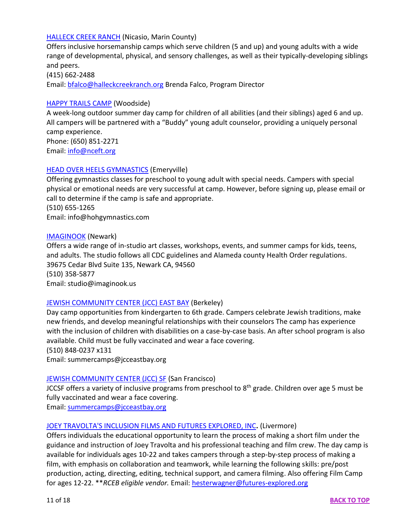## [HALLECK CREEK RANCH](https://www.halleckcreekranch.org/view.cfm/1/Homepage) (Nicasio, Marin County)

Offers inclusive horsemanship camps which serve children (5 and up) and young adults with a wide range of developmental, physical, and sensory challenges, as well as their typically-developing siblings and peers.

#### (415) 662-2488

Email: [bfalco@halleckcreekranch.org](mailto:bfalco@halleckcreekranch.org) Brenda Falco, Program Director

#### [HAPPY TRAILS CAMP](https://nceft.org/services/happytrailscamp) (Woodside)

A week-long outdoor summer day camp for children of all abilities (and their siblings) aged 6 and up. All campers will be partnered with a "Buddy" young adult counselor, providing a uniquely personal camp experience. Phone: (650) 851-2271

Email: [info@nceft.org](mailto:info@nceft.org)

#### [HEAD OVER HEELS GYMNASTICS](https://hohathleticarts.com/camp/) (Emeryville)

Offering gymnastics classes for preschool to young adult with special needs. Campers with special physical or emotional needs are very successful at camp. However, before signing up, please email or call to determine if the camp is safe and appropriate.

(510) 655-1265 Email: info@hohgymnastics.com

#### [IMAGINOOK](https://www.imaginook.us/camps) (Newark)

Offers a wide range of in-studio art classes, workshops, events, and summer camps for kids, teens, and adults. The studio follows all CDC guidelines and Alameda county Health Order regulations. 39675 Cedar Blvd Suite 135, Newark CA, 94560 (510) 358-5877 Email: studio@imaginook.us

### [JEWISH COMMUNITY CENTER \(JCC\) EAST BAY](https://jcceastbay.org/youth-family/berkeley-summer-camp) (Berkeley)

Day camp opportunities from kindergarten to 6th grade. Campers celebrate Jewish traditions, make new friends, and develop meaningful relationships with their counselors The camp has experience with the inclusion of children with disabilities on a case-by-case basis. An after school program is also available. Child must be fully vaccinated and wear a face covering. (510) 848-0237 x131

Email: summercamps@jcceastbay.org

### [JEWISH COMMUNITY CENTER \(JCC\) SF](https://www.jccsf.org/program/summer-camp/) (San Francisco)

JCCSF offers a variety of inclusive programs from preschool to 8<sup>th</sup> grade. Children over age 5 must be fully vaccinated and wear a face covering.

Email: [summercamps@jcceastbay.org](mailto:summercamps@jcceastbay.org)

#### [JOEY TRAVOLTA'S INCLUSION FILMS AND FUTURES EXPLORED, INC](https://www.futures-explored.org/film-media)**.** (Livermore)

Offers individuals the educational opportunity to learn the process of making a short film under the guidance and instruction of Joey Travolta and his professional teaching and film crew. The day camp is available for individuals ages 10-22 and takes campers through a step-by-step process of making a film, with emphasis on collaboration and teamwork, while learning the following skills: pre/post production, acting, directing, editing, technical support, and camera filming. Also offering Film Camp for ages 12-22. \*\**RCEB eligible vendor.* Email: [hesterwagner@futures-explored.org](mailto:hesterwagner@futures-explored.org)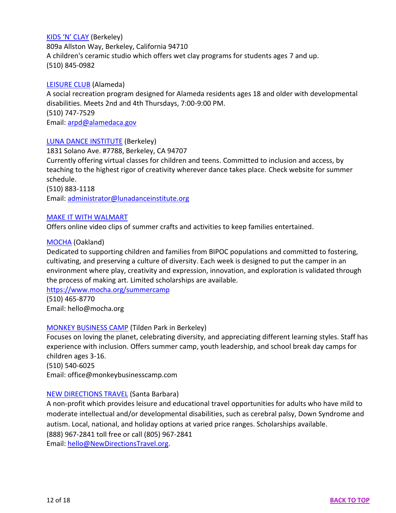## [KIDS 'N' CLAY](https://kidsnclay.com/) (Berkeley)

809a Allston Way, Berkeley, California 94710 A children's ceramic studio which offers wet clay programs for students ages 7 and up. (510) 845-0982

#### [LEISURE CLUB](https://www.alamedaca.gov/GOVERNMENT/Departments/Recreation-Parks/Leisure-Club) (Alameda)

A social recreation program designed for Alameda residents ages 18 and older with developmental disabilities. Meets 2nd and 4th Thursdays, 7:00-9:00 PM. (510) 747-7529 Email: [arpd@alamedaca.gov](mailto:arpd@alamedaca.gov)

#### [LUNA DANCE INSTITUTE](https://lunadanceinstitute.org/) (Berkeley)

1831 Solano Ave. #7788, Berkeley, CA 94707

Currently offering virtual classes for children and teens. Committed to inclusion and access, by teaching to the highest rigor of creativity wherever dance takes place. Check website for summer schedule.

(510) 883-1118 Email: [administrator@lunadanceinstitute.org](mailto:administrator@lunadanceinstitute.org)

### [MAKE IT WITH WALMART](https://camp.eko.com/)

Offers online video clips of summer crafts and activities to keep families entertained.

#### [MOCHA](http://mocha.org/) (Oakland)

Dedicated to supporting children and families from BIPOC populations and committed to fostering, cultivating, and preserving a culture of diversity. Each week is designed to put the camper in an environment where play, creativity and expression, innovation, and exploration is validated through the process of making art. Limited scholarships are available.

<https://www.mocha.org/summercamp>

(510) 465-8770 Email: hello@mocha.org

#### [MONKEY BUSINESS CAMP](https://monkeybusinesscamp.com/) (Tilden Park in Berkeley)

Focuses on loving the planet, celebrating diversity, and appreciating different learning styles. Staff has experience with inclusion. Offers summer camp, youth leadership, and school break day camps for children ages 3-16. (510) 540-6025

Email: office@monkeybusinesscamp.com

### [NEW DIRECTIONS TRAVEL](http://www.newdirectionstravel.org/) (Santa Barbara)

A non-profit which provides leisure and educational travel opportunities for adults who have mild to moderate intellectual and/or developmental disabilities, such as cerebral palsy, Down Syndrome and autism. Local, national, and holiday options at varied price ranges. Scholarships available. (888) 967-2841 toll free or call (805) 967-2841 Email: [hello@NewDirectionsTravel.org.](mailto:hello@NewDirectionsTravel.org)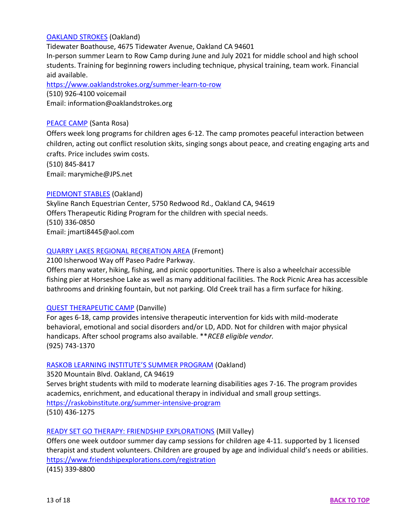## [OAKLAND](https://www.oaklandstrokes.org/) STROKES (Oakland)

Tidewater Boathouse, 4675 Tidewater Avenue, Oakland CA 94601

In-person summer Learn to Row Camp during June and July 2021 for middle school and high school students. Training for beginning rowers including technique, physical training, team work. Financial aid available.

<https://www.oaklandstrokes.org/summer-learn-to-row> (510) 926-4100 voicemail Email: information@oaklandstrokes.org

### [PEACE CAMP](http://www.peacecamp.com/) (Santa Rosa)

Offers week long programs for children ages 6-12. The camp promotes peaceful interaction between children, acting out conflict resolution skits, singing songs about peace, and creating engaging arts and crafts. Price includes swim costs.

(510) 845-8417

Email: marymiche@JPS.net

### [PIEDMONT STABLES](https://www.skyline-ranch.com/piedmont-stables) (Oakland)

Skyline Ranch Equestrian Center, 5750 Redwood Rd., Oakland CA, 94619 Offers Therapeutic Riding Program for the children with special needs. (510) 336-0850 Email: jmarti8445@aol.com

### [QUARRY LAKES REGIONAL RECREATION AREA](https://www.ebparks.org/parks/quarry_lakes/) (Fremont)

2100 Isherwood Way off Paseo Padre Parkway.

Offers many water, hiking, fishing, and picnic opportunities. There is also a wheelchair accessible fishing pier at Horseshoe Lake as well as many additional facilities. The Rock Picnic Area has accessible bathrooms and drinking fountain, but not parking. Old Creek trail has a firm surface for hiking.

### [QUEST THERAPEUTIC CAMP](https://www.questcamps.com/locations/sf-east-bay-california) (Danville)

For ages 6-18, camp provides intensive therapeutic intervention for kids with mild-moderate behavioral, emotional and social disorders and/or LD, ADD. Not for children with major physical handicaps. After school programs also available. \*\**RCEB eligible vendor.* (925) 743-1370

# [RASKOB LEARNING INSTITUTE'S SUMMER PROGRAM](https://raskobinstitute.org/) (Oakland)

3520 Mountain Blvd. Oakland, CA 94619

Serves bright students with mild to moderate learning disabilities ages 7-16. The program provides academics, enrichment, and educational therapy in individual and small group settings. <https://raskobinstitute.org/summer-intensive-program>

(510) 436-1275

### [READY SET GO THERAPY: FRIENDSHIP EXPLORATIONS](https://www.friendshipexplorations.com/) (Mill Valley)

Offers one week outdoor summer day camp sessions for children age 4-11. supported by 1 licensed therapist and student volunteers. Children are grouped by age and individual child's needs or abilities. <https://www.friendshipexplorations.com/registration>

(415) 339-8800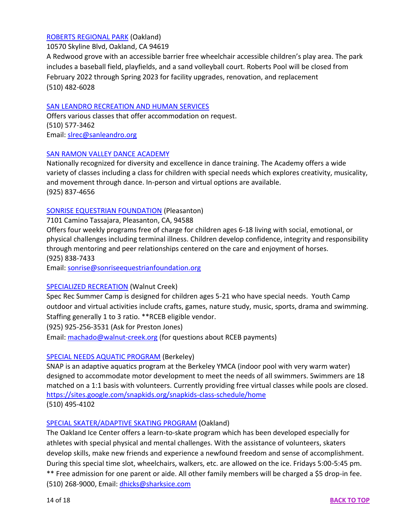## [ROBERTS REGIONAL PARK](https://www.ebparks.org/parks/roberts/default.htm) (Oakland)

10570 Skyline Blvd, Oakland, CA 94619

A Redwood grove with an accessible barrier free wheelchair accessible children's play area. The park includes a baseball field, playfields, and a sand volleyball court. Roberts Pool will be closed from February 2022 through Spring 2023 for facility upgrades, renovation, and replacement (510) 482-6028

## [SAN LEANDRO RECREATION AND HUMAN SERVICES](https://www.sanleandro.org/377/Recreation-Human-Services)

Offers various classes that offer accommodation on request. (510) 577-3462 Email: [slrec@sanleandro.org](mailto:slrec@sanleandro.org)

## [SAN RAMON VALLEY DANCE ACADEMY](https://www.srvda.com/)

Nationally recognized for diversity and excellence in dance training. The Academy offers a wide variety of classes including a class for children with special needs which explores creativity, musicality, and movement through dance. In-person and virtual options are available. (925) 837-4656

## [SONRISE EQUESTRIAN FOUNDATION](https://www.sonrisekids.org/) (Pleasanton)

7101 Camino Tassajara, Pleasanton, CA, 94588

Offers four weekly programs free of charge for children ages 6-18 living with social, emotional, or physical challenges including terminal illness. Children develop confidence, integrity and responsibility through mentoring and peer relationships centered on the care and enjoyment of horses. (925) 838-7433

Email: [sonrise@sonriseequestrianfoundation.org](mailto:sonrise@sonriseequestrianfoundation.org)

# [SPECIALIZED RECREATION](https://www.walnut-creek.org/departments/arts-and-recreation/recreation-parks/specialized-recreation) (Walnut Creek)

Spec Rec Summer Camp is designed for children ages 5-21 who have special needs. Youth Camp outdoor and virtual activities include crafts, games, nature study, music, sports, drama and swimming. Staffing generally 1 to 3 ratio. \*\*RCEB eligible vendor.

(925) 925-256-3531 (Ask for Preston Jones)

Email: [machado@walnut-creek.org](mailto:machado@walnut-creek.org) (for questions about RCEB payments)

# [SPECIAL NEEDS AQUATIC PROGRAM](https://snapkids.org/) (Berkeley)

SNAP is an adaptive aquatics program at the Berkeley YMCA (indoor pool with very warm water) designed to accommodate motor development to meet the needs of all swimmers. Swimmers are 18 matched on a 1:1 basis with volunteers. Currently providing free virtual classes while pools are closed. <https://sites.google.com/snapkids.org/snapkids-class-schedule/home> (510) 495-4102

# [SPECIAL SKATER/ADAPTIVE SKATING PROGRAM](http://www.oaklandice.com/figure-skating/special-needs-therapeutic-skating-program) (Oakland)

The Oakland Ice Center offers a learn-to-skate program which has been developed especially for athletes with special physical and mental challenges. With the assistance of volunteers, skaters develop skills, make new friends and experience a newfound freedom and sense of accomplishment. During this special time slot, wheelchairs, walkers, etc. are allowed on the ice. Fridays 5:00-5:45 pm. \*\* Free admission for one parent or aide. All other family members will be charged a \$5 drop-in fee. (510) 268-9000, Email: [dhicks@sharksice.com](mailto:dhicks@sharksice.com)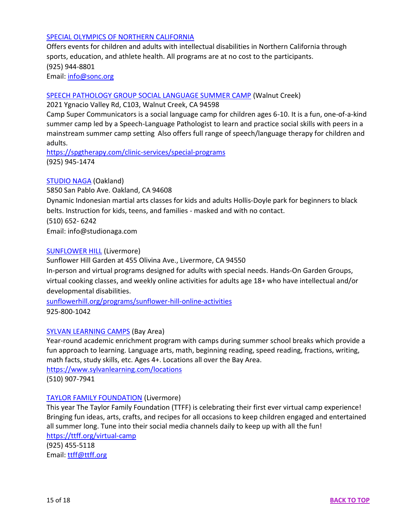## [SPECIAL OLYMPICS OF NORTHERN CALIFORNIA](https://www.sonc.org/)

Offers events for children and adults with intellectual disabilities in Northern California through sports, education, and athlete health. All programs are at no cost to the participants. (925) 944-8801 Email: [info@sonc.org](mailto:info@sonc.org)

#### [SPEECH PATHOLOGY GROUP SOCIAL LANGUAGE SUMMER CAMP](https://spgtherapy.com/) (Walnut Creek)

2021 Ygnacio Valley Rd, C103, Walnut Creek, CA 94598

Camp Super Communicators is a social language camp for children ages 6-10. It is a fun, one-of-a-kind summer camp led by a Speech-Language Pathologist to learn and practice social skills with peers in a mainstream summer camp setting. Also offers full range of speech/language therapy for children and adults.

<https://spgtherapy.com/clinic-services/special-programs> (925) 945-1474

### [STUDIO NAGA](https://www.studionaga.com/) (Oakland)

5850 San Pablo Ave. Oakland, CA 94608 Dynamic Indonesian martial arts classes for kids and adults Hollis-Doyle park for beginners to black belts. Instruction for kids, teens, and families - masked and with no contact. (510) 652- 6242 Email: info@studionaga.com

#### [SUNFLOWER HILL](https://sunflowerhill.org/) (Livermore)

Sunflower Hill Garden at 455 Olivina Ave., Livermore, CA 94550 In-person and virtual programs designed for adults with special needs. Hands-On Garden Groups, virtual cooking classes, and weekly online activities for adults age 18+ who have intellectual and/or developmental disabilities.

[sunflowerhill.org/programs/sunflower-hill-online-activities](https://sunflowerhill.org/programs/sunflower-hill-online-activities) 925-800-1042

### [SYLVAN LEARNING CAMPS](https://www.sylvanlearning.com/camps/academic) (Bay Area)

Year-round academic enrichment program with camps during summer school breaks which provide a fun approach to learning. Language arts, math, beginning reading, speed reading, fractions, writing, math facts, study skills, etc. Ages 4+. Locations all over the Bay Area. <https://www.sylvanlearning.com/locations>

(510) 907-7941

### [TAYLOR FAMILY FOUNDATION](https://ttff.org/) (Livermore)

This year The Taylor Family Foundation (TTFF) is celebrating their first ever virtual camp experience! Bringing fun ideas, arts, crafts, and recipes for all occasions to keep children engaged and entertained all summer long. Tune into their social media channels daily to keep up with all the fun! <https://ttff.org/virtual-camp>

(925) 455-5118 Email: [ttff@ttff.org](mailto:ttff@ttff.org)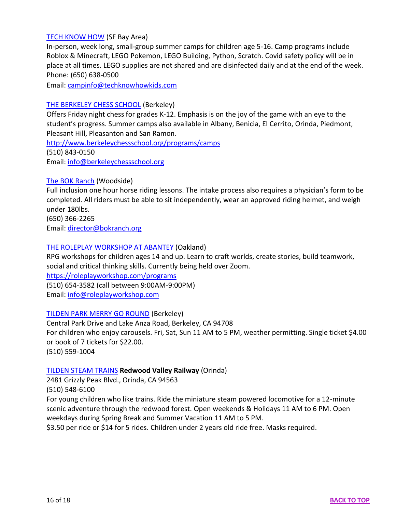#### [TECH KNOW HOW](https://www.techknowhowkids.com/home) (SF Bay Area)

In-person, week long, small-group summer camps for children age 5-16. Camp programs include Roblox & Minecraft, LEGO Pokemon, LEGO Building, Python, Scratch. Covid safety policy will be in place at all times. LEGO supplies are not shared and are disinfected daily and at the end of the week. Phone: (650) 638-0500

Email: [campinfo@techknowhowkids.com](mailto:campinfo@techknowhowkids.com)

### [THE BERKELEY CHESS SCHOOL](http://www.berkeleychessschool.org/) (Berkeley)

Offers Friday night chess for grades K-12. Emphasis is on the joy of the game with an eye to the student's progress. Summer camps also available in Albany, Benicia, El Cerrito, Orinda, Piedmont, Pleasant Hill, Pleasanton and San Ramon.

<http://www.berkeleychessschool.org/programs/camps>

(510) 843-0150

Email: [info@berkeleychessschool.org](mailto:info@berkeleychessschool.org)

#### [The BOK Ranch](http://www.bokranch.org/programsandservices/) (Woodside)

Full inclusion one hour horse riding lessons. The intake process also requires a physician's form to be completed. All riders must be able to sit independently, wear an approved riding helmet, and weigh under 180lbs.

(650) 366-2265

Email: [director@bokranch.org](mailto:director@bokranch.org)

#### [THE ROLEPLAY WORKSHOP AT ABANTEY](https://roleplayworkshop.com/) (Oakland)

RPG workshops for children ages 14 and up. Learn to craft worlds, create stories, build teamwork, social and critical thinking skills. Currently being held over Zoom.

<https://roleplayworkshop.com/programs>

(510) 654-3582 (call between 9:00AM-9:00PM)

Email: [info@roleplayworkshop.com](mailto:info@roleplayworkshop.com)

### [TILDEN PARK MERRY GO ROUND](https://tildenmerrygoround.org/) (Berkeley)

Central Park Drive and Lake Anza Road, Berkeley, CA 94708 For children who enjoy carousels. Fri, Sat, Sun 11 AM to 5 PM, weather permitting. Single ticket \$4.00 or book of 7 tickets for \$22.00.

(510) 559-1004

### [TILDEN STEAM TRAINS](https://redwood-valley-railway.business.site/) **Redwood Valley Railway** (Orinda)

2481 Grizzly Peak Blvd., Orinda, CA 94563 (510) 548-6100

For young children who like trains. Ride the miniature steam powered locomotive for a 12-minute scenic adventure through the redwood forest. Open weekends & Holidays 11 AM to 6 PM. Open weekdays during Spring Break and Summer Vacation 11 AM to 5 PM. \$3.50 per ride or \$14 for 5 rides. Children under 2 years old ride free. Masks required.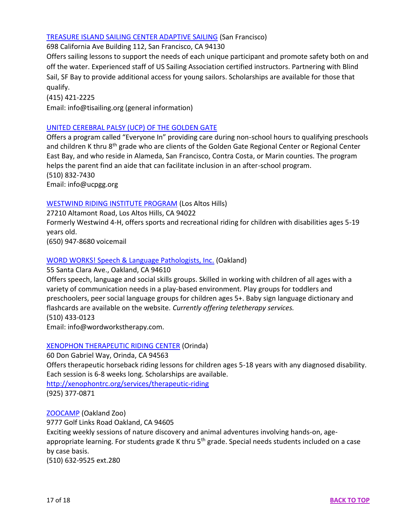## [TREASURE ISLAND SAILING CENTER ADAPTIVE SAILING](https://www.tisailing.org/adaptive/) (San Francisco)

698 California Ave Building 112, San Francisco, CA 94130

Offers sailing lessons to support the needs of each unique participant and promote safety both on and off the water. Experienced staff of US Sailing Association certified instructors. Partnering with Blind Sail, SF Bay to provide additional access for young sailors. Scholarships are available for those that qualify.

(415) 421-2225

Email: info@tisailing.org (general information)

## [UNITED CEREBRAL PALSY \(UCP\) OF THE](http://ucpgg.org/everyone-in-one-to-one-afterschool-assistance-for-children/) GOLDEN GATE

Offers a program called "Everyone In" providing care during non-school hours to qualifying preschools and children K thru 8<sup>th</sup> grade who are clients of the Golden Gate Regional Center or Regional Center East Bay, and who reside in Alameda, San Francisco, Contra Costa, or Marin counties. The program helps the parent find an aide that can facilitate inclusion in an after-school program. (510) 832-7430 Email: info@ucpgg.org

## [WESTWIND RIDING INSTITUTE PROGRAM](https://westwind-wri-riding.org/) (Los Altos Hills)

27210 Altamont Road, Los Altos Hills, CA 94022

Formerly Westwind 4-H, offers sports and recreational riding for children with disabilities ages 5-19 years old.

(650) 947-8680 voicemail

## [WORD WORKS! Speech & Language Pathologists, Inc.](https://www.wordworkstherapy.com/) (Oakland)

55 Santa Clara Ave., Oakland, CA 94610

Offers speech, language and social skills groups. Skilled in working with children of all ages with a variety of communication needs in a play-based environment. Play groups for toddlers and preschoolers, peer social language groups for children ages 5+. Baby sign language dictionary and flashcards are available on the website. *Currently offering teletherapy services.* (510) 433-0123

Email: info@wordworkstherapy.com.

### [XENOPHON THERAPEUTIC RIDING CENTER](http://xenophontrc.org/) (Orinda)

60 Don Gabriel Way, Orinda, CA 94563 Offers therapeutic horseback riding lessons for children ages 5-18 years with any diagnosed disability. Each session is 6-8 weeks long. Scholarships are available. <http://xenophontrc.org/services/therapeutic-riding> (925) 377-0871

[ZOOCAMP](https://www.oaklandzoo.org/zoocamp) (Oakland Zoo)

9777 Golf Links Road Oakland, CA 94605 Exciting weekly sessions of nature discovery and animal adventures involving hands-on, ageappropriate learning. For students grade K thru 5<sup>th</sup> grade. Special needs students included on a case by case basis. (510) 632-9525 ext.280